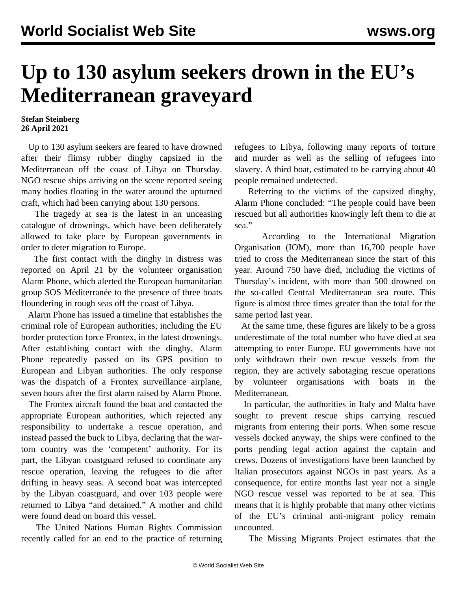## **Up to 130 asylum seekers drown in the EU's Mediterranean graveyard**

## **Stefan Steinberg 26 April 2021**

 Up to 130 asylum seekers are feared to have drowned after their flimsy rubber dinghy capsized in the Mediterranean off the coast of Libya on Thursday. NGO rescue ships arriving on the scene reported seeing many bodies floating in the water around the upturned craft, which had been carrying about 130 persons.

 The tragedy at sea is the latest in an unceasing catalogue of drownings, which have been deliberately allowed to take place by European governments in order to deter migration to Europe.

 The first contact with the dinghy in distress was reported on April 21 by the volunteer organisation Alarm Phone, which alerted the European humanitarian group SOS Méditerranée to the presence of three boats floundering in rough seas off the coast of Libya.

 Alarm Phone has issued a timeline that establishes the criminal role of European authorities, including the EU border protection force Frontex, in the latest drownings. After establishing contact with the dinghy, Alarm Phone repeatedly passed on its GPS position to European and Libyan authorities. The only response was the dispatch of a Frontex surveillance airplane, seven hours after the first alarm raised by Alarm Phone.

 The Frontex aircraft found the boat and contacted the appropriate European authorities, which rejected any responsibility to undertake a rescue operation, and instead passed the buck to Libya, declaring that the wartorn country was the 'competent' authority. For its part, the Libyan coastguard refused to coordinate any rescue operation, leaving the refugees to die after drifting in heavy seas. A second boat was intercepted by the Libyan coastguard, and over 103 people were returned to Libya "and detained." A mother and child were found dead on board this vessel.

 The United Nations Human Rights Commission recently called for an end to the practice of returning refugees to Libya, following many reports of torture and murder as well as the selling of refugees into slavery. A third boat, estimated to be carrying about 40 people remained undetected.

 Referring to the victims of the capsized dinghy, Alarm Phone concluded: "The people could have been rescued but all authorities knowingly left them to die at sea."

 According to the International Migration Organisation (IOM), more than 16,700 people have tried to cross the Mediterranean since the start of this year. Around 750 have died, including the victims of Thursday's incident, with more than 500 drowned on the so-called Central Mediterranean sea route. This figure is almost three times greater than the total for the same period last year.

 At the same time, these figures are likely to be a gross underestimate of the total number who have died at sea attempting to enter Europe. EU governments have not only withdrawn their own rescue vessels from the region, they are actively sabotaging rescue operations by volunteer organisations with boats in the Mediterranean.

 In particular, the authorities in Italy and Malta have sought to prevent rescue ships carrying rescued migrants from entering their ports. When some rescue vessels docked anyway, the ships were confined to the ports pending legal action against the captain and crews. Dozens of investigations have been launched by Italian prosecutors against NGOs in past years. As a consequence, for entire months last year not a single NGO rescue vessel was reported to be at sea. This means that it is highly probable that many other victims of the EU's criminal anti-migrant policy remain uncounted.

The Missing Migrants Project estimates that the